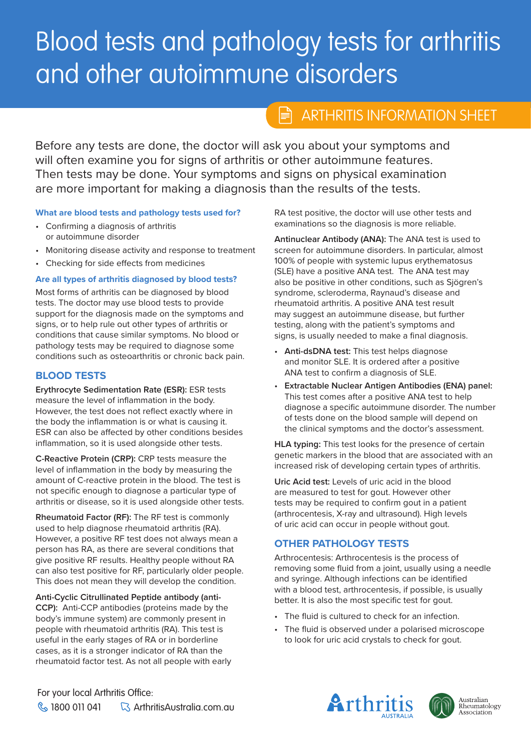# Blood tests and pathology tests for arthritis and other autoimmune disorders

#### ARTHRITIS INFORMATION SHEET ARTHRITIS INFORMATION SHEETĦ

This sheet has been people to be declared for people and people affecting and Before any tests are done, the doctor will dsk you disout your symptoms and before any tests are done, the doctor which committed you for signs of dramas of other datentimaties redured:<br>Then tests may be done. Your symptoms and signs on physical examination information and a viewer comparison and angular improperties than the set of the tests. Before any tests are done, the doctor will ask you about your symptoms and

## **What are blood tests and pathology tests used for?**

- **•** Confirming a diagnosis of arthritis or autoimmune disorder
- Monitoring disease activity and response to treatment
- Checking for side effects from medicines

#### Are all types of arthritis diagnosed by blood tests?

Most forms of arthritis can be diagnosed by blood tests. The doctor may use blood tests to provide support for the diagnosis made on the symptoms and<br>since each halo wils substituting of arthritic and signs, or to neip rule out other types or arunius or<br>conditions that cause similar symptoms. No blood or pathology tests may be required to diagnose some conditions such as osteoarthritis or chronic back pain. signs, or to help rule out other types of arthritis or

## • Spondyloarthritis: arthritis that affects the joints as **BLOOD TESTS**

**Erythrocyte Sedimentation Rate (ESR):** ESR tests measure the level of inflammation in the body. the body the inflammation is or what is causing it.  $ESR$  can also be affected by other conditions besides inflammation, so it is used alongside other tests. However, the test does not reflect exactly where in

**C-Reactive Protein (CRP):** CRP tests measure the level of inflammation in the body by measuring the amount of C-reactive protein in the blood. The test is arthritis or disease, so it is used alongside other tests. not specific enough to diagnose a particular type of

Rheumatoid Factor (RF): The RF test is commonly used to help diagnose rheumatoid arthritis (RA). riowever, a positive in test accessible amays mean conditions. positive RF results. Healthy people without RA can also test positive for RF, particularly older people. This does not mean they will develop the condition. However, a positive RF test does not always mean a

**CCP):** Anti-CCP antibodies (proteins made by the body's immune system) are commonly present in people with rheumatoid arthritis (RA). This test is useful in the early stages of RA or in borderline cases, as it is a stronger indicator of RA than the **Anti-Cyclic Citrullinated Peptide antibody (anti**rheumatoid factor test. As not all people with early

RA test positive, the doctor will use other tests and examinations so the diagnosis is more reliable.

Antinuclear Antibody (ANA): The ANA test is used to Antificulture Antibody (ANA). The ANA test is used to<br>screen for autoimmune disorders. In particular, almost 100% of people with systemic lupus erythematosus **How is nr-axSpA diagnosed?** also be positive in other conditions, such as Sjögren's syndrome, scleroderma, Raynaud's disease and rheumatoid arthritis. A positive ANA test result may suggest an autoimmune disease, but further testing, along with the patient's symptoms and signs, is usually needed to make a final diagnosis. (SLE) have a positive ANA test. The ANA test may

- After displacement and monitor SLE. It is ordered after a positive and member of the continuation appears to provide the members of SLE. • **Anti-dsDNA test:** This test helps diagnose
- Extractable Nuclear Antigen Antibodies (ENA) panel: Examination, blood tests (C-reactive protein tests (C-reactive protein tests (C-reactive protein tests of protein tests of protein tests (C-reactive ANA test to help diagnose a specific autoimmune disorder. The number of tests done on the blood sample will depend on the clinical symptoms and the doctor's assessment.

**What's will have a will have a with the presence of certain** increased risk of developing certain types of arthritis. **HLA typing:** This test looks for the presence of certain

Uric Acid test: Levels of uric acid in the blood are measured to test for gout. However other tests may be required to confirm gout in a patient (arthrocentesis, X-ray and ultrasound). High levels of uric acid can occur in people without gout.

#### $\epsilon$  however, some people may have severe, long-**OTHER PATHOLOGY TESTS**

Arthrocentesis: Arthrocentesis is the process of removing some fluid from a joint, usually using a needle with a blood test, arthrocentesis, if possible, is<br>better. It is also the most specific test for gout. and syringe. Although infections can be identified with a blood test, arthrocentesis, if possible, is usually

- Currently there is no cure for nr-axSpA. However, • The fluid is cultured to check for an infection.
- The fluid is observed under a polarised microscope to look for uric acid crystals to check for gout.

For your local Arthritis Office:  $\%$  1800 011 041  $\qquad \qquad \& \qquad$  ArthritisAustralia.com.au